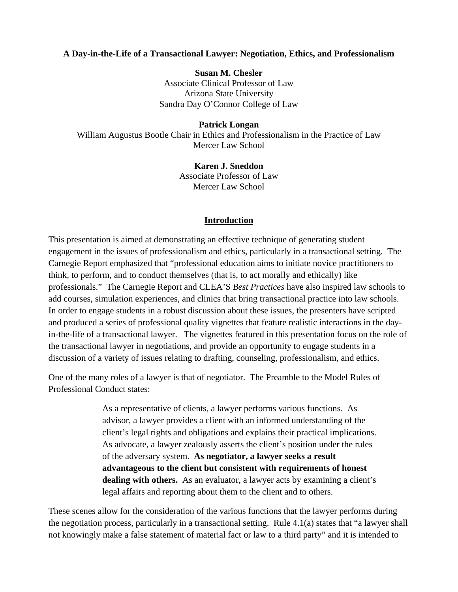## **A Day-in-the-Life of a Transactional Lawyer: Negotiation, Ethics, and Professionalism**

**Susan M. Chesler**  Associate Clinical Professor of Law Arizona State University Sandra Day O'Connor College of Law

**Patrick Longan** 

William Augustus Bootle Chair in Ethics and Professionalism in the Practice of Law Mercer Law School

> **Karen J. Sneddon**  Associate Professor of Law Mercer Law School

#### **Introduction**

This presentation is aimed at demonstrating an effective technique of generating student engagement in the issues of professionalism and ethics, particularly in a transactional setting. The Carnegie Report emphasized that "professional education aims to initiate novice practitioners to think, to perform, and to conduct themselves (that is, to act morally and ethically) like professionals." The Carnegie Report and CLEA'S *Best Practices* have also inspired law schools to add courses, simulation experiences, and clinics that bring transactional practice into law schools. In order to engage students in a robust discussion about these issues, the presenters have scripted and produced a series of professional quality vignettes that feature realistic interactions in the dayin-the-life of a transactional lawyer. The vignettes featured in this presentation focus on the role of the transactional lawyer in negotiations, and provide an opportunity to engage students in a discussion of a variety of issues relating to drafting, counseling, professionalism, and ethics.

One of the many roles of a lawyer is that of negotiator. The Preamble to the Model Rules of Professional Conduct states:

> As a representative of clients, a lawyer performs various functions. As advisor, a lawyer provides a client with an informed understanding of the client's legal rights and obligations and explains their practical implications. As advocate, a lawyer zealously asserts the client's position under the rules of the adversary system. **As negotiator, a lawyer seeks a result advantageous to the client but consistent with requirements of honest dealing with others.** As an evaluator, a lawyer acts by examining a client's legal affairs and reporting about them to the client and to others.

These scenes allow for the consideration of the various functions that the lawyer performs during the negotiation process, particularly in a transactional setting. Rule 4.1(a) states that "a lawyer shall not knowingly make a false statement of material fact or law to a third party" and it is intended to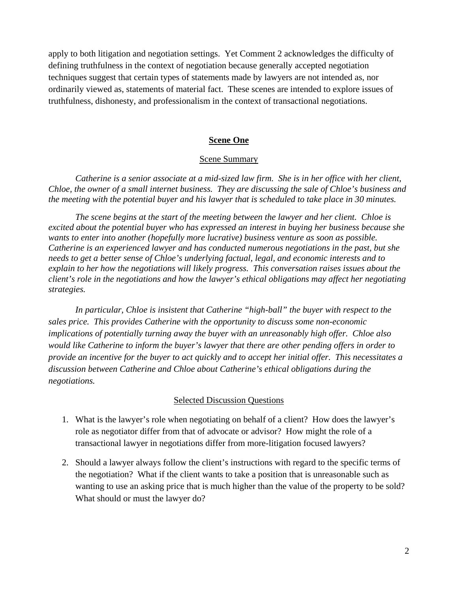apply to both litigation and negotiation settings. Yet Comment 2 acknowledges the difficulty of defining truthfulness in the context of negotiation because generally accepted negotiation techniques suggest that certain types of statements made by lawyers are not intended as, nor ordinarily viewed as, statements of material fact. These scenes are intended to explore issues of truthfulness, dishonesty, and professionalism in the context of transactional negotiations.

## **Scene One**

#### Scene Summary

*Catherine is a senior associate at a mid-sized law firm. She is in her office with her client, Chloe, the owner of a small internet business. They are discussing the sale of Chloe's business and the meeting with the potential buyer and his lawyer that is scheduled to take place in 30 minutes.* 

*The scene begins at the start of the meeting between the lawyer and her client. Chloe is excited about the potential buyer who has expressed an interest in buying her business because she wants to enter into another (hopefully more lucrative) business venture as soon as possible. Catherine is an experienced lawyer and has conducted numerous negotiations in the past, but she needs to get a better sense of Chloe's underlying factual, legal, and economic interests and to explain to her how the negotiations will likely progress. This conversation raises issues about the client's role in the negotiations and how the lawyer's ethical obligations may affect her negotiating strategies.* 

*In particular, Chloe is insistent that Catherine "high-ball" the buyer with respect to the sales price. This provides Catherine with the opportunity to discuss some non-economic implications of potentially turning away the buyer with an unreasonably high offer. Chloe also would like Catherine to inform the buyer's lawyer that there are other pending offers in order to provide an incentive for the buyer to act quickly and to accept her initial offer. This necessitates a discussion between Catherine and Chloe about Catherine's ethical obligations during the negotiations.* 

#### Selected Discussion Questions

- 1. What is the lawyer's role when negotiating on behalf of a client? How does the lawyer's role as negotiator differ from that of advocate or advisor? How might the role of a transactional lawyer in negotiations differ from more-litigation focused lawyers?
- 2. Should a lawyer always follow the client's instructions with regard to the specific terms of the negotiation? What if the client wants to take a position that is unreasonable such as wanting to use an asking price that is much higher than the value of the property to be sold? What should or must the lawyer do?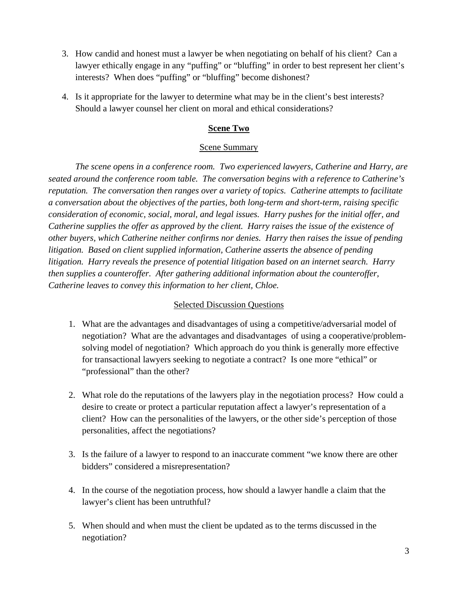- 3. How candid and honest must a lawyer be when negotiating on behalf of his client? Can a lawyer ethically engage in any "puffing" or "bluffing" in order to best represent her client's interests? When does "puffing" or "bluffing" become dishonest?
- 4. Is it appropriate for the lawyer to determine what may be in the client's best interests? Should a lawyer counsel her client on moral and ethical considerations?

# **Scene Two**

## Scene Summary

*The scene opens in a conference room. Two experienced lawyers, Catherine and Harry, are seated around the conference room table. The conversation begins with a reference to Catherine's reputation. The conversation then ranges over a variety of topics. Catherine attempts to facilitate a conversation about the objectives of the parties, both long-term and short-term, raising specific consideration of economic, social, moral, and legal issues. Harry pushes for the initial offer, and Catherine supplies the offer as approved by the client. Harry raises the issue of the existence of other buyers, which Catherine neither confirms nor denies. Harry then raises the issue of pending litigation. Based on client supplied information, Catherine asserts the absence of pending litigation. Harry reveals the presence of potential litigation based on an internet search. Harry then supplies a counteroffer. After gathering additional information about the counteroffer, Catherine leaves to convey this information to her client, Chloe.* 

## Selected Discussion Questions

- 1. What are the advantages and disadvantages of using a competitive/adversarial model of negotiation? What are the advantages and disadvantages of using a cooperative/problemsolving model of negotiation? Which approach do you think is generally more effective for transactional lawyers seeking to negotiate a contract? Is one more "ethical" or "professional" than the other?
- 2. What role do the reputations of the lawyers play in the negotiation process? How could a desire to create or protect a particular reputation affect a lawyer's representation of a client? How can the personalities of the lawyers, or the other side's perception of those personalities, affect the negotiations?
- 3. Is the failure of a lawyer to respond to an inaccurate comment "we know there are other bidders" considered a misrepresentation?
- 4. In the course of the negotiation process, how should a lawyer handle a claim that the lawyer's client has been untruthful?
- 5. When should and when must the client be updated as to the terms discussed in the negotiation?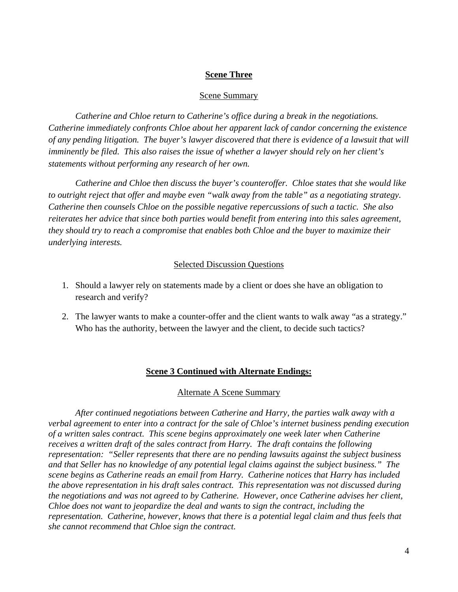## **Scene Three**

#### Scene Summary

*Catherine and Chloe return to Catherine's office during a break in the negotiations. Catherine immediately confronts Chloe about her apparent lack of candor concerning the existence of any pending litigation. The buyer's lawyer discovered that there is evidence of a lawsuit that will imminently be filed. This also raises the issue of whether a lawyer should rely on her client's statements without performing any research of her own.* 

 *Catherine and Chloe then discuss the buyer's counteroffer. Chloe states that she would like to outright reject that offer and maybe even "walk away from the table" as a negotiating strategy. Catherine then counsels Chloe on the possible negative repercussions of such a tactic. She also reiterates her advice that since both parties would benefit from entering into this sales agreement, they should try to reach a compromise that enables both Chloe and the buyer to maximize their underlying interests.* 

### Selected Discussion Questions

- 1. Should a lawyer rely on statements made by a client or does she have an obligation to research and verify?
- 2. The lawyer wants to make a counter-offer and the client wants to walk away "as a strategy." Who has the authority, between the lawyer and the client, to decide such tactics?

### **Scene 3 Continued with Alternate Endings:**

#### Alternate A Scene Summary

*After continued negotiations between Catherine and Harry, the parties walk away with a verbal agreement to enter into a contract for the sale of Chloe's internet business pending execution of a written sales contract. This scene begins approximately one week later when Catherine receives a written draft of the sales contract from Harry. The draft contains the following representation: "Seller represents that there are no pending lawsuits against the subject business and that Seller has no knowledge of any potential legal claims against the subject business." The scene begins as Catherine reads an email from Harry. Catherine notices that Harry has included the above representation in his draft sales contract. This representation was not discussed during the negotiations and was not agreed to by Catherine. However, once Catherine advises her client, Chloe does not want to jeopardize the deal and wants to sign the contract, including the representation. Catherine, however, knows that there is a potential legal claim and thus feels that she cannot recommend that Chloe sign the contract.*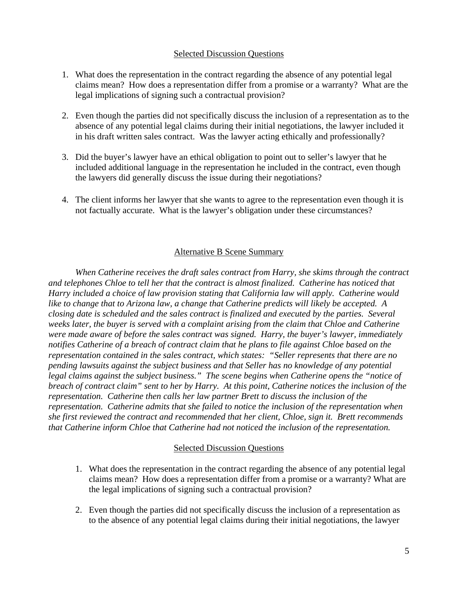## Selected Discussion Questions

- 1. What does the representation in the contract regarding the absence of any potential legal claims mean? How does a representation differ from a promise or a warranty? What are the legal implications of signing such a contractual provision?
- 2. Even though the parties did not specifically discuss the inclusion of a representation as to the absence of any potential legal claims during their initial negotiations, the lawyer included it in his draft written sales contract. Was the lawyer acting ethically and professionally?
- 3. Did the buyer's lawyer have an ethical obligation to point out to seller's lawyer that he included additional language in the representation he included in the contract, even though the lawyers did generally discuss the issue during their negotiations?
- 4. The client informs her lawyer that she wants to agree to the representation even though it is not factually accurate. What is the lawyer's obligation under these circumstances?

# Alternative B Scene Summary

*When Catherine receives the draft sales contract from Harry, she skims through the contract and telephones Chloe to tell her that the contract is almost finalized. Catherine has noticed that Harry included a choice of law provision stating that California law will apply. Catherine would like to change that to Arizona law, a change that Catherine predicts will likely be accepted. A closing date is scheduled and the sales contract is finalized and executed by the parties. Several weeks later, the buyer is served with a complaint arising from the claim that Chloe and Catherine were made aware of before the sales contract was signed. Harry, the buyer's lawyer, immediately notifies Catherine of a breach of contract claim that he plans to file against Chloe based on the representation contained in the sales contract, which states: "Seller represents that there are no pending lawsuits against the subject business and that Seller has no knowledge of any potential legal claims against the subject business." The scene begins when Catherine opens the "notice of breach of contract claim" sent to her by Harry. At this point, Catherine notices the inclusion of the representation. Catherine then calls her law partner Brett to discuss the inclusion of the representation. Catherine admits that she failed to notice the inclusion of the representation when she first reviewed the contract and recommended that her client, Chloe, sign it. Brett recommends that Catherine inform Chloe that Catherine had not noticed the inclusion of the representation.* 

## Selected Discussion Questions

- 1. What does the representation in the contract regarding the absence of any potential legal claims mean? How does a representation differ from a promise or a warranty? What are the legal implications of signing such a contractual provision?
- 2. Even though the parties did not specifically discuss the inclusion of a representation as to the absence of any potential legal claims during their initial negotiations, the lawyer